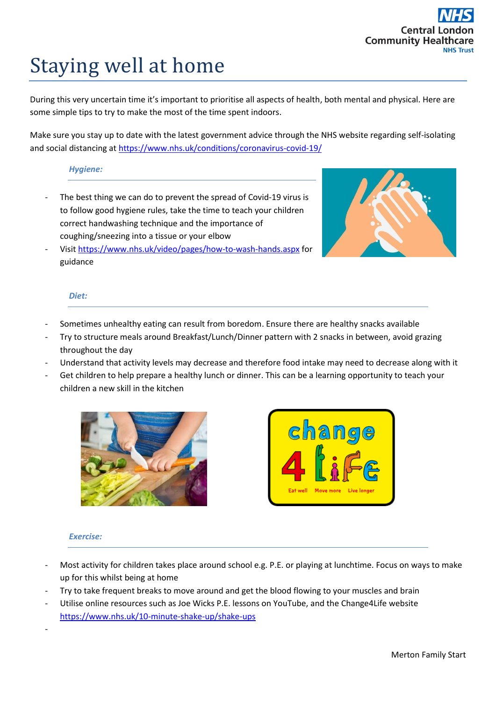# Staying well at home

During this very uncertain time it's important to prioritise all aspects of health, both mental and physical. Here are some simple tips to try to make the most of the time spent indoors.

Make sure you stay up to date with the latest government advice through the NHS website regarding self-isolating and social distancing at<https://www.nhs.uk/conditions/coronavirus-covid-19/>

## *Hygiene:*

The best thing we can do to prevent the spread of Covid-19 virus is to follow good hygiene rules, take the time to teach your children correct handwashing technique and the importance of coughing/sneezing into a tissue or your elbow



- Visit<https://www.nhs.uk/video/pages/how-to-wash-hands.aspx> for guidance

### *Diet:*

- Sometimes unhealthy eating can result from boredom. Ensure there are healthy snacks available
- Try to structure meals around Breakfast/Lunch/Dinner pattern with 2 snacks in between, avoid grazing throughout the day
- Understand that activity levels may decrease and therefore food intake may need to decrease along with it
- Get children to help prepare a healthy lunch or dinner. This can be a learning opportunity to teach your children a new skill in the kitchen





### *Exercise:*

-

- Most activity for children takes place around school e.g. P.E. or playing at lunchtime. Focus on ways to make up for this whilst being at home
- Try to take frequent breaks to move around and get the blood flowing to your muscles and brain
- Utilise online resources such as Joe Wicks P.E. lessons on YouTube, and the Change4Life website <https://www.nhs.uk/10-minute-shake-up/shake-ups>